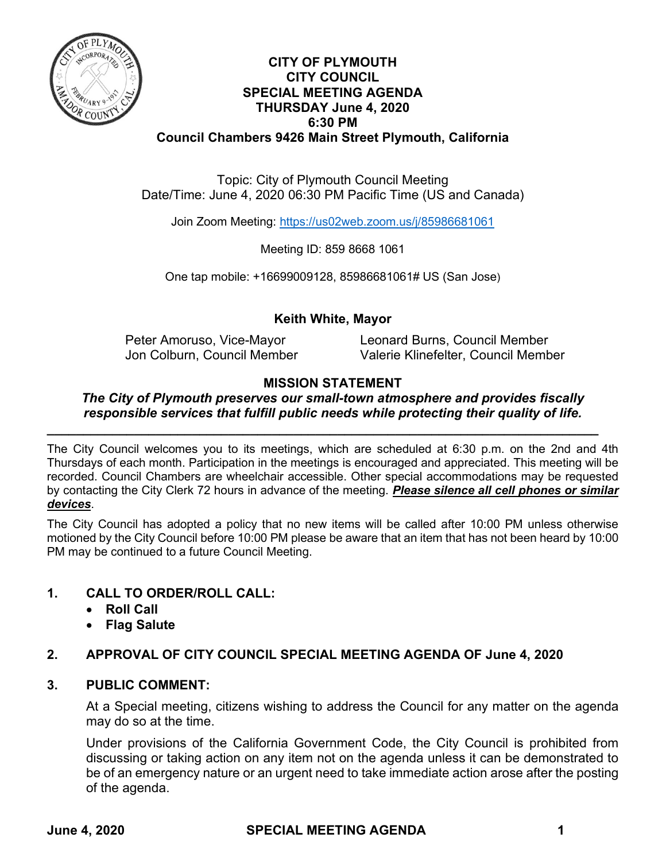

# **CITY OF PLYMOUTH CITY COUNCIL SPECIAL MEETING AGENDA THURSDAY June 4, 2020 6:30 PM Council Chambers 9426 Main Street Plymouth, California**

Topic: City of Plymouth Council Meeting Date/Time: June 4, 2020 06:30 PM Pacific Time (US and Canada)

Join Zoom Meeting:<https://us02web.zoom.us/j/85986681061>

Meeting ID: 859 8668 1061

One tap mobile: +16699009128, 85986681061# US (San Jose)

# **Keith White, Mayor**

Peter Amoruso, Vice-Mayor **Leonard Burns, Council Member** Jon Colburn, Council Member Valerie Klinefelter, Council Member

### **MISSION STATEMENT**

#### *The City of Plymouth preserves our small-town atmosphere and provides fiscally responsible services that fulfill public needs while protecting their quality of life.*

*\_\_\_\_\_\_\_\_\_\_\_\_\_\_\_\_\_\_\_\_\_\_\_\_\_\_\_\_\_\_\_\_\_\_\_\_\_\_\_\_\_\_\_\_\_\_\_\_\_\_\_\_\_\_\_\_\_\_\_\_\_\_\_\_\_\_\_\_\_\_\_\_\_\_\_\_*

The City Council welcomes you to its meetings, which are scheduled at 6:30 p.m. on the 2nd and 4th Thursdays of each month. Participation in the meetings is encouraged and appreciated. This meeting will be recorded. Council Chambers are wheelchair accessible. Other special accommodations may be requested by contacting the City Clerk 72 hours in advance of the meeting. *Please silence all cell phones or similar devices*.

The City Council has adopted a policy that no new items will be called after 10:00 PM unless otherwise motioned by the City Council before 10:00 PM please be aware that an item that has not been heard by 10:00 PM may be continued to a future Council Meeting.

### **1. CALL TO ORDER/ROLL CALL:**

- **Roll Call**
- **Flag Salute**

# **2. APPROVAL OF CITY COUNCIL SPECIAL MEETING AGENDA OF June 4, 2020**

### **3. PUBLIC COMMENT:**

At a Special meeting, citizens wishing to address the Council for any matter on the agenda may do so at the time.

Under provisions of the California Government Code, the City Council is prohibited from discussing or taking action on any item not on the agenda unless it can be demonstrated to be of an emergency nature or an urgent need to take immediate action arose after the posting of the agenda.